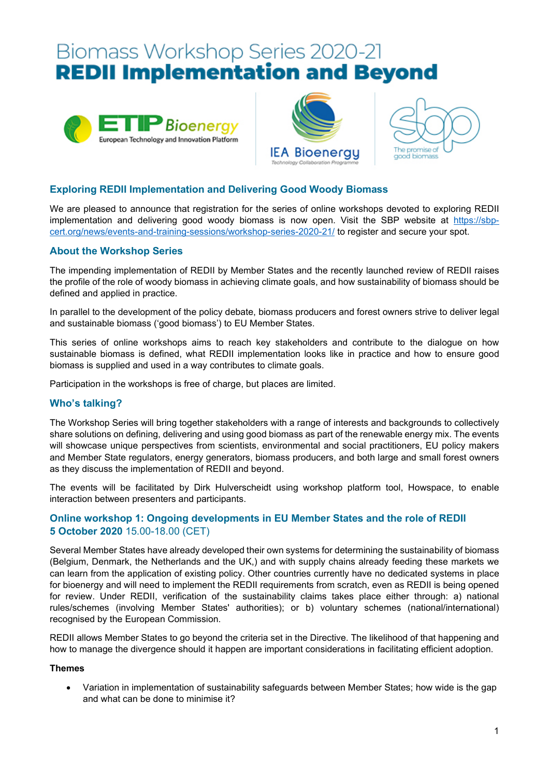# Biomass Workshop Series 2020-21 **REDII Implementation and Beyond**







# **Exploring REDII Implementation and Delivering Good Woody Biomass**

We are pleased to announce that registration for the series of online workshops devoted to exploring REDII implementation and delivering good woody biomass is now open. Visit the SBP website at [https://sbp](https://sbp-cert.org/news/events-and-training-sessions/workshop-series-2020-21/)[cert.org/news/events-and-training-sessions/workshop-series-2020-21/](https://sbp-cert.org/news/events-and-training-sessions/workshop-series-2020-21/) to register and secure your spot.

## **About the Workshop Series**

The impending implementation of REDII by Member States and the recently launched review of REDII raises the profile of the role of woody biomass in achieving climate goals, and how sustainability of biomass should be defined and applied in practice.

In parallel to the development of the policy debate, biomass producers and forest owners strive to deliver legal and sustainable biomass ('good biomass') to EU Member States.

This series of online workshops aims to reach key stakeholders and contribute to the dialogue on how sustainable biomass is defined, what REDII implementation looks like in practice and how to ensure good biomass is supplied and used in a way contributes to climate goals.

Participation in the workshops is free of charge, but places are limited.

## **Who's talking?**

The Workshop Series will bring together stakeholders with a range of interests and backgrounds to collectively share solutions on defining, delivering and using good biomass as part of the renewable energy mix. The events will showcase unique perspectives from scientists, environmental and social practitioners, EU policy makers and Member State regulators, energy generators, biomass producers, and both large and small forest owners as they discuss the implementation of REDII and beyond.

The events will be facilitated by Dirk Hulverscheidt using workshop platform tool, Howspace, to enable interaction between presenters and participants.

## **Online workshop 1: Ongoing developments in EU Member States and the role of REDII 5 October 2020** 15.00-18.00 (CET)

Several Member States have already developed their own systems for determining the sustainability of biomass (Belgium, Denmark, the Netherlands and the UK,) and with supply chains already feeding these markets we can learn from the application of existing policy. Other countries currently have no dedicated systems in place for bioenergy and will need to implement the REDII requirements from scratch, even as REDII is being opened for review. Under REDII, verification of the sustainability claims takes place either through: a) national rules/schemes (involving Member States' authorities); or b) voluntary schemes (national/international) recognised by the European Commission.

REDII allows Member States to go beyond the criteria set in the Directive. The likelihood of that happening and how to manage the divergence should it happen are important considerations in facilitating efficient adoption.

#### **Themes**

• Variation in implementation of sustainability safeguards between Member States; how wide is the gap and what can be done to minimise it?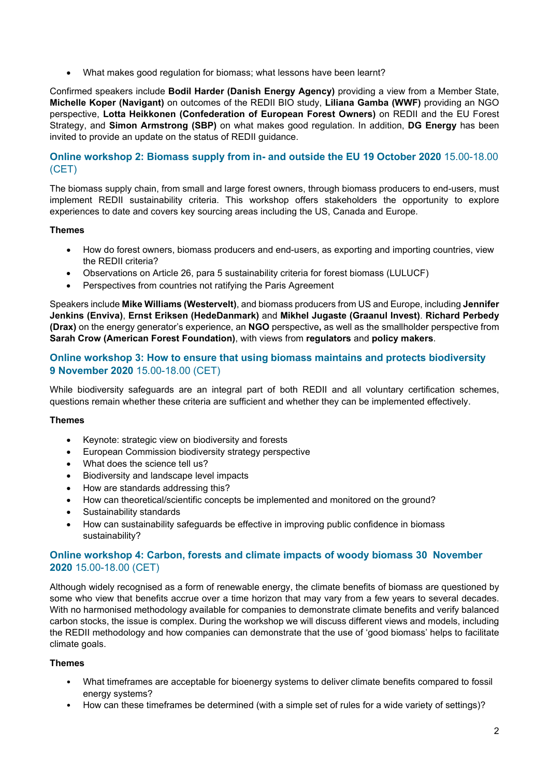• What makes good regulation for biomass; what lessons have been learnt?

Confirmed speakers include **Bodil Harder (Danish Energy Agency)** providing a view from a Member State, **Michelle Koper (Navigant)** on outcomes of the REDII BIO study, **Liliana Gamba (WWF)** providing an NGO perspective, **Lotta Heikkonen (Confederation of European Forest Owners)** on REDII and the EU Forest Strategy, and **Simon Armstrong (SBP)** on what makes good regulation. In addition, **DG Energy** has been invited to provide an update on the status of REDII guidance.

## **Online workshop 2: Biomass supply from in- and outside the EU 19 October 2020** 15.00-18.00 (CET)

The biomass supply chain, from small and large forest owners, through biomass producers to end-users, must implement REDII sustainability criteria. This workshop offers stakeholders the opportunity to explore experiences to date and covers key sourcing areas including the US, Canada and Europe.

## **Themes**

- How do forest owners, biomass producers and end-users, as exporting and importing countries, view the REDII criteria?
- Observations on Article 26, para 5 sustainability criteria for forest biomass (LULUCF)
- Perspectives from countries not ratifying the Paris Agreement

Speakers include **Mike Williams (Westervelt)**, and biomass producers from US and Europe, including **Jennifer Jenkins (Enviva)**, **Ernst Eriksen (HedeDanmark)** and **Mikhel Jugaste (Graanul Invest)**. **Richard Perbedy (Drax)** on the energy generator's experience, an **NGO** perspective**,** as well as the smallholder perspective from **Sarah Crow (American Forest Foundation)**, with views from **regulators** and **policy makers**.

## **Online workshop 3: How to ensure that using biomass maintains and protects biodiversity 9 November 2020** 15.00-18.00 (CET)

While biodiversity safeguards are an integral part of both REDII and all voluntary certification schemes, questions remain whether these criteria are sufficient and whether they can be implemented effectively.

#### **Themes**

- Keynote: strategic view on biodiversity and forests
- European Commission biodiversity strategy perspective
- What does the science tell us?
- Biodiversity and landscape level impacts
- How are standards addressing this?
- How can theoretical/scientific concepts be implemented and monitored on the ground?
- Sustainability standards
- How can sustainability safeguards be effective in improving public confidence in biomass sustainability?

## **Online workshop 4: Carbon, forests and climate impacts of woody biomass 30 November 2020** 15.00-18.00 (CET)

Although widely recognised as a form of renewable energy, the climate benefits of biomass are questioned by some who view that benefits accrue over a time horizon that may vary from a few years to several decades. With no harmonised methodology available for companies to demonstrate climate benefits and verify balanced carbon stocks, the issue is complex. During the workshop we will discuss different views and models, including the REDII methodology and how companies can demonstrate that the use of 'good biomass' helps to facilitate climate goals.

#### **Themes**

- What timeframes are acceptable for bioenergy systems to deliver climate benefits compared to fossil energy systems?
- How can these timeframes be determined (with a simple set of rules for a wide variety of settings)?